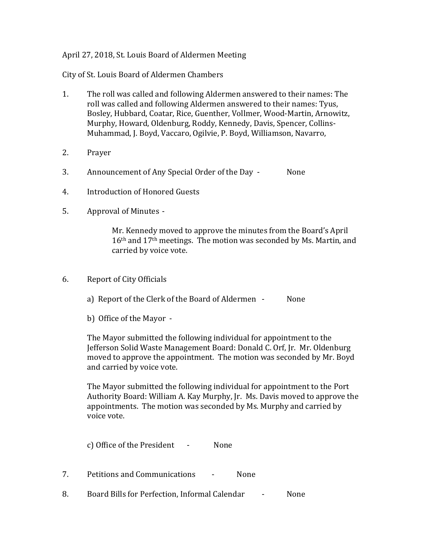## April 27, 2018, St. Louis Board of Aldermen Meeting

City of St. Louis Board of Aldermen Chambers

- 1. The roll was called and following Aldermen answered to their names: The roll was called and following Aldermen answered to their names: Tyus, Bosley, Hubbard, Coatar, Rice, Guenther, Vollmer, Wood-Martin, Arnowitz, Murphy, Howard, Oldenburg, Roddy, Kennedy, Davis, Spencer, Collins-Muhammad, J. Boyd, Vaccaro, Ogilvie, P. Boyd, Williamson, Navarro,
- 2. Prayer
- 3. Announcement of Any Special Order of the Day None
- 4. Introduction of Honored Guests
- 5. Approval of Minutes -

Mr. Kennedy moved to approve the minutes from the Board's April 16th and 17th meetings. The motion was seconded by Ms. Martin, and carried by voice vote.

- 6. Report of City Officials
	- a) Report of the Clerk of the Board of Aldermen None
	- b) Office of the Mayor -

The Mayor submitted the following individual for appointment to the Jefferson Solid Waste Management Board: Donald C. Orf, Jr. Mr. Oldenburg moved to approve the appointment. The motion was seconded by Mr. Boyd and carried by voice vote.

The Mayor submitted the following individual for appointment to the Port Authority Board: William A. Kay Murphy, Jr. Ms. Davis moved to approve the appointments. The motion was seconded by Ms. Murphy and carried by voice vote.

c) Office of the President - None

- 7. Petitions and Communications None
- 8. Board Bills for Perfection, Informal Calendar None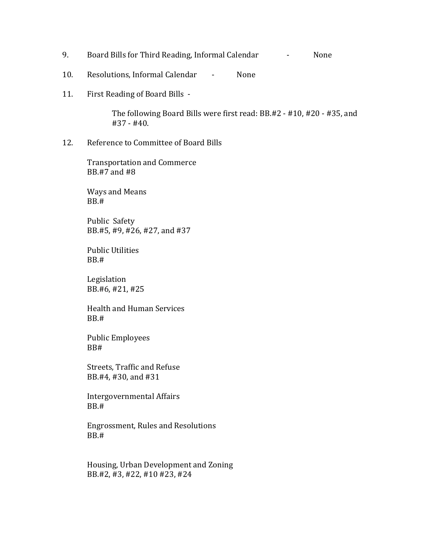- 9. Board Bills for Third Reading, Informal Calendar Fasce Rome
- 10. Resolutions, Informal Calendar None
- 11. First Reading of Board Bills -

The following Board Bills were first read: BB.#2 - #10, #20 - #35, and #37 - #40.

12. Reference to Committee of Board Bills

Transportation and Commerce BB.#7 and #8

Ways and Means BB.#

Public Safety BB.#5, #9, #26, #27, and #37

Public Utilities BB.#

Legislation BB.#6, #21, #25

Health and Human Services BB.#

Public Employees BB#

Streets, Traffic and Refuse BB.#4, #30, and #31

Intergovernmental Affairs BB.#

Engrossment, Rules and Resolutions BB.#

Housing, Urban Development and Zoning BB.#2, #3, #22, #10 #23, #24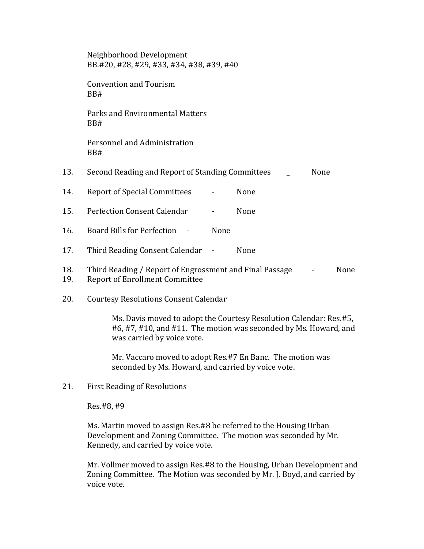Neighborhood Development BB.#20, #28, #29, #33, #34, #38, #39, #40

Convention and Tourism BB#

Parks and Environmental Matters BB#

Personnel and Administration BB#

- 13. Second Reading and Report of Standing Committees None
- 14. Report of Special Committees None
- 15. Perfection Consent Calendar None
- 16. Board Bills for Perfection None
- 17. Third Reading Consent Calendar None
- 18. Third Reading / Report of Engrossment and Final Passage None 19. Report of Enrollment Committee
- 20. Courtesy Resolutions Consent Calendar

Ms. Davis moved to adopt the Courtesy Resolution Calendar: Res.#5, #6, #7, #10, and #11. The motion was seconded by Ms. Howard, and was carried by voice vote.

Mr. Vaccaro moved to adopt Res.#7 En Banc. The motion was seconded by Ms. Howard, and carried by voice vote.

21. First Reading of Resolutions

Res.#8, #9

Ms. Martin moved to assign Res.#8 be referred to the Housing Urban Development and Zoning Committee. The motion was seconded by Mr. Kennedy, and carried by voice vote.

Mr. Vollmer moved to assign Res.#8 to the Housing, Urban Development and Zoning Committee. The Motion was seconded by Mr. J. Boyd, and carried by voice vote.